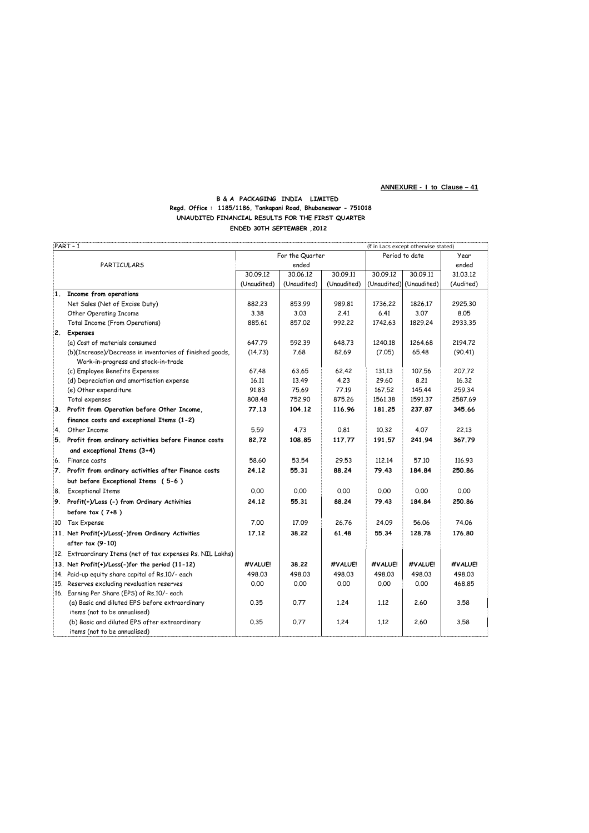# **ANNEXURE - I to Clause – 41**

### **B & A PACKAGING INDIA LIMITED Regd. Office : 1185/1186, Tankapani Road, Bhubaneswar - 751018 UNAUDITED FINANCIAL RESULTS FOR THE FIRST QUARTER ENDED 30TH SEPTEMBER ,2012**

|    | PART-1                                                                        |                 |             |             |                | (₹ in Lacs except otherwise stated) |           |  |
|----|-------------------------------------------------------------------------------|-----------------|-------------|-------------|----------------|-------------------------------------|-----------|--|
|    |                                                                               | For the Quarter |             |             | Period to date |                                     | Year      |  |
|    | <b>PARTICULARS</b>                                                            |                 | ended       |             |                |                                     | ended     |  |
|    |                                                                               | 30.09.12        | 30.06.12    | 30.09.11    | 30.09.12       | 30.09.11                            | 31.03.12  |  |
|    |                                                                               | (Unaudited)     | (Unaudited) | (Unaudited) |                | (Unaudited) (Unaudited)             | (Audited) |  |
|    | 1. Income from operations                                                     |                 |             |             |                |                                     |           |  |
|    | Net Sales (Net of Excise Duty)                                                | 882,23          | 853.99      | 989.81      | 1736.22        | 1826.17                             | 2925.30   |  |
|    | Other Operating Income                                                        | 3.38            | 3.03        | 2.41        | 6.41           | 3.07                                | 8.05      |  |
|    | <b>Total Income (From Operations)</b>                                         | 885.61          | 857.02      | 992,22      | 1742.63        | 1829.24                             | 2933.35   |  |
|    | 2. Expenses                                                                   |                 |             |             |                |                                     |           |  |
|    | (a) Cost of materials consumed                                                | 647.79          | 592.39      | 648.73      | 1240.18        | 1264.68                             | 2194.72   |  |
|    | (b)(Increase)/Decrease in inventories of finished goods.                      | (14.73)         | 7.68        | 82.69       | (7.05)         | 65.48                               | (90.41)   |  |
|    | Work-in-progress and stock-in-trade                                           |                 |             |             |                |                                     |           |  |
|    | (c) Employee Benefits Expenses                                                | 67.48           | 63.65       | 62.42       | 131.13         | 107.56                              | 207.72    |  |
|    | (d) Depreciation and amortisation expense                                     | 16.11           | 13.49       | 4.23        | 29.60          | 8.21                                | 16.32     |  |
|    | (e) Other expenditure                                                         | 91.83           | 75.69       | 77.19       | 167.52         | 145.44                              | 259.34    |  |
|    | Total expenses                                                                | 808,48          | 752.90      | 875,26      | 1561.38        | 1591.37                             | 2587.69   |  |
|    | 3. Profit from Operation before Other Income,                                 | 77.13           | 104.12      | 116.96      | 181.25         | 237.87                              | 345.66    |  |
|    | finance costs and exceptional Items (1-2)                                     |                 |             |             |                |                                     |           |  |
| 4. | Other Income                                                                  | 5.59            | 4.73        | 0.81        | 10,32          | 4.07                                | 22,13     |  |
|    | 5. Profit from ordinary activities before Finance costs                       | 82.72           | 108.85      | 117.77      | 191.57         | 241.94                              | 367.79    |  |
|    | and exceptional Items (3+4)                                                   |                 |             |             |                |                                     |           |  |
|    | 6. Finance costs                                                              | 58.60           | 53.54       | 29.53       | 112.14         | 57.10                               | 116.93    |  |
| 7. | Profit from ordinary activities after Finance costs                           | 24.12           | 55.31       | 88.24       | 79.43          | 184.84                              | 250.86    |  |
|    | but before Exceptional Items (5-6)                                            |                 |             |             |                |                                     |           |  |
| 8. | <b>Exceptional Items</b>                                                      | 0.00            | 0.00        | 0.00        | 0.00           | 0.00                                | 0.00      |  |
| 9. | Profit(+)/Loss (-) from Ordinary Activities                                   | 24.12           | 55.31       | 88.24       | 79.43          | 184.84                              | 250.86    |  |
|    | before tax ( 7+8 )                                                            |                 |             |             |                |                                     |           |  |
|    | 10 Tax Expense                                                                | 7.00            | 17.09       | 26.76       | 24.09          | 56.06                               | 74.06     |  |
|    | 11. Net Profit(+)/Loss(-)from Ordinary Activities                             | 17.12           | 38.22       | 61.48       | 55.34          | 128.78                              | 176.80    |  |
|    | after tax (9-10)                                                              |                 |             |             |                |                                     |           |  |
|    | 12. Extraordinary Items (net of tax expenses Rs. NIL Lakhs)                   |                 |             |             |                |                                     |           |  |
|    | 13. Net Profit(+)/Loss(-)for the period (11-12)                               | #VALUE!         | 38.22       | #VALUE!     | #VALUE!        | #VALUE!                             | #VALUE!   |  |
|    | 14. Paid-up equity share capital of Rs.10/- each                              | 498.03          | 498.03      | 498.03      | 498.03         | 498.03                              | 498.03    |  |
|    | 15. Reserves excluding revaluation reserves                                   | 0.00            | 0.00        | 0.00        | 0.00           | 0.00                                | 468.85    |  |
|    | 16. Earning Per Share (EPS) of Rs.10/- each                                   |                 |             |             |                |                                     |           |  |
|    | (a) Basic and diluted EPS before extraordinary                                | 0.35            | 0.77        | 1.24        | 1.12           | 2.60                                | 3.58      |  |
|    | items (not to be annualised)                                                  |                 |             |             |                |                                     |           |  |
|    | (b) Basic and diluted EPS after extraordinary<br>items (not to be annualised) | 0.35            | 0.77        | 1.24        | 1.12           | 2.60                                | 3.58      |  |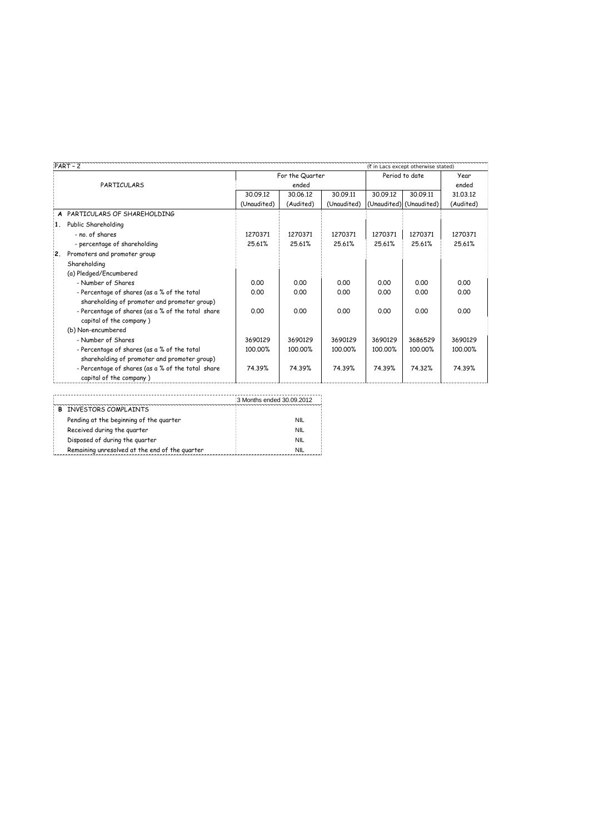| $PART - 2$<br>(₹ in Lacs except otherwise stated) |                                                   |             |                 |             |          |                         |           |
|---------------------------------------------------|---------------------------------------------------|-------------|-----------------|-------------|----------|-------------------------|-----------|
|                                                   |                                                   |             | For the Quarter |             |          | Period to date          | Year      |
|                                                   | PARTICULARS                                       |             | ended           |             |          |                         | ended     |
|                                                   |                                                   | 30.09.12    | 30.06.12        | 30.09.11    | 30.09.12 | 30.09.11                | 31.03.12  |
|                                                   |                                                   | (Unaudited) | (Audited)       | (Unaudited) |          | (Unaudited) (Unaudited) | (Audited) |
|                                                   | A PARTICULARS OF SHAREHOLDING                     |             |                 |             |          |                         |           |
| $\mathbf{1}$ .                                    | Public Shareholding                               |             |                 |             |          |                         |           |
|                                                   | - no. of shares                                   | 1270371     | 1270371         | 1270371     | 1270371  | 1270371                 | 1270371   |
|                                                   | - percentage of shareholding                      | 25.61%      | 25.61%          | 25.61%      | 25.61%   | 25.61%                  | 25.61%    |
| 2 <sub>1</sub>                                    | Promoters and promoter group                      |             |                 |             |          |                         |           |
|                                                   | Shareholding                                      |             |                 |             |          |                         |           |
|                                                   | (a) Pledged/Encumbered                            |             |                 |             |          |                         |           |
|                                                   | - Number of Shares                                | 0.00        | 0.00            | 0.00        | 0.00     | 0.00                    | 0.00      |
|                                                   | - Percentage of shares (as a % of the total       | 0.00        | 0.00            | 0.00        | 0.00     | 0.00                    | 0.00      |
|                                                   | shareholding of promoter and promoter group)      |             |                 |             |          |                         |           |
|                                                   | - Percentage of shares (as a % of the total share | 0.00        | 0.00            | 0.00        | 0.00     | 0.00                    | 0.00      |
|                                                   | capital of the company)                           |             |                 |             |          |                         |           |
|                                                   | (b) Non-encumbered                                |             |                 |             |          |                         |           |
|                                                   | - Number of Shares                                | 3690129     | 3690129         | 3690129     | 3690129  | 3686529                 | 3690129   |
|                                                   | - Percentage of shares (as a % of the total       | 100.00%     | 100.00%         | 100.00%     | 100.00%  | 100.00%                 | 100.00%   |
|                                                   | shareholding of promoter and promoter group)      |             |                 |             |          |                         |           |
|                                                   | - Percentage of shares (as a % of the total share | 74.39%      | 74.39%          | 74.39%      | 74.39%   | 74.32%                  | 74.39%    |
|                                                   | capital of the company)                           |             |                 |             |          |                         |           |

|                                                | 3 Months ended 30.09.2012 |
|------------------------------------------------|---------------------------|
| <b>B</b> INVESTORS COMPLAINTS                  |                           |
| Pending at the beginning of the quarter        | <b>NIL</b>                |
| Received during the quarter                    | <b>NIL</b>                |
| Disposed of during the quarter                 | NII                       |
| Remaining unresolved at the end of the quarter | ΝIΙ                       |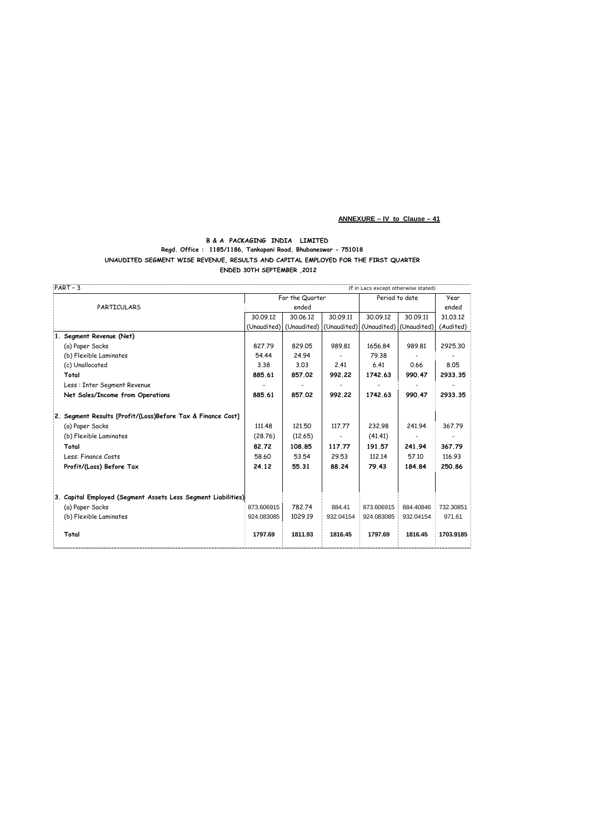## **ANNEXURE – IV to Clause – 41**

#### **B & A PACKAGING INDIA LIMITED Regd. Office : 1185/1186, Tankapani Road, Bhubaneswar - 751018 UNAUDITED SEGMENT WISE REVENUE, RESULTS AND CAPITAL EMPLOYED FOR THE FIRST QUARTER ENDED 30TH SEPTEMBER ,2012**

| $PART - 3$                                                    |            |                         |           |                                     | (₹ in Lacs except otherwise stated) |           |
|---------------------------------------------------------------|------------|-------------------------|-----------|-------------------------------------|-------------------------------------|-----------|
|                                                               |            | For the Quarter         |           |                                     | Period to date                      | Year      |
| <b>PARTICULARS</b>                                            |            | ended                   |           |                                     |                                     | ended     |
|                                                               | 30.09.12   | 30.06.12                | 30.09.11  | 30.09.12                            | 30.09.11                            | 31.03.12  |
|                                                               |            | (Unaudited) (Unaudited) |           | (Unaudited) (Unaudited) (Unaudited) |                                     | (Audited) |
| 1. Segment Revenue (Net)                                      |            |                         |           |                                     |                                     |           |
| (a) Paper Sacks                                               | 827.79     | 829.05                  | 989.81    | 1656.84                             | 989.81                              | 2925.30   |
| (b) Flexible Laminates                                        | 54.44      | 24.94                   |           | 79.38                               |                                     |           |
| (c) Unallocated                                               | 3.38       | 3.03                    | 2.41      | 6.41                                | 0.66                                | 8.05      |
| Total                                                         | 885.61     | 857.02                  | 992.22    | 1742.63                             | 990.47                              | 2933.35   |
| Less : Inter Segment Revenue                                  |            |                         |           |                                     |                                     |           |
| Net Sales/Income from Operations                              | 885.61     | 857.02                  | 992.22    | 1742.63                             | 990.47                              | 2933.35   |
| 2. Segment Results [Profit/(Loss)Before Tax & Finance Cost]   |            |                         |           |                                     |                                     |           |
| (a) Paper Sacks                                               | 111.48     | 121.50                  | 117.77    | 232.98                              | 241.94                              | 367.79    |
| (b) Flexible Laminates                                        | (28.76)    | (12.65)                 |           | (41.41)                             |                                     |           |
| Total                                                         | 82.72      | 108.85                  | 117.77    | 191.57                              | 241.94                              | 367.79    |
| Less: Finance Costs                                           | 58.60      | 53.54                   | 29.53     | 112.14                              | 57.10                               | 116.93    |
| Profit/(Loss) Before Tax                                      | 24.12      | 55.31                   | 88.24     | 79.43                               | 184.84                              | 250.86    |
|                                                               |            |                         |           |                                     |                                     |           |
| 3. Capital Employed (Segment Assets Less Segment Liabilities) |            |                         |           |                                     |                                     |           |
| (a) Paper Sacks                                               | 873.606915 | 782.74                  | 884.41    | 873.606915                          | 884.40846                           | 732.30851 |
| (b) Flexible Laminates                                        | 924.083085 | 1029.19                 | 932.04154 | 924.083085                          | 932.04154                           | 971.61    |
| Total                                                         | 1797.69    | 1811.93                 | 1816.45   | 1797.69                             | 1816.45                             | 1703.9185 |